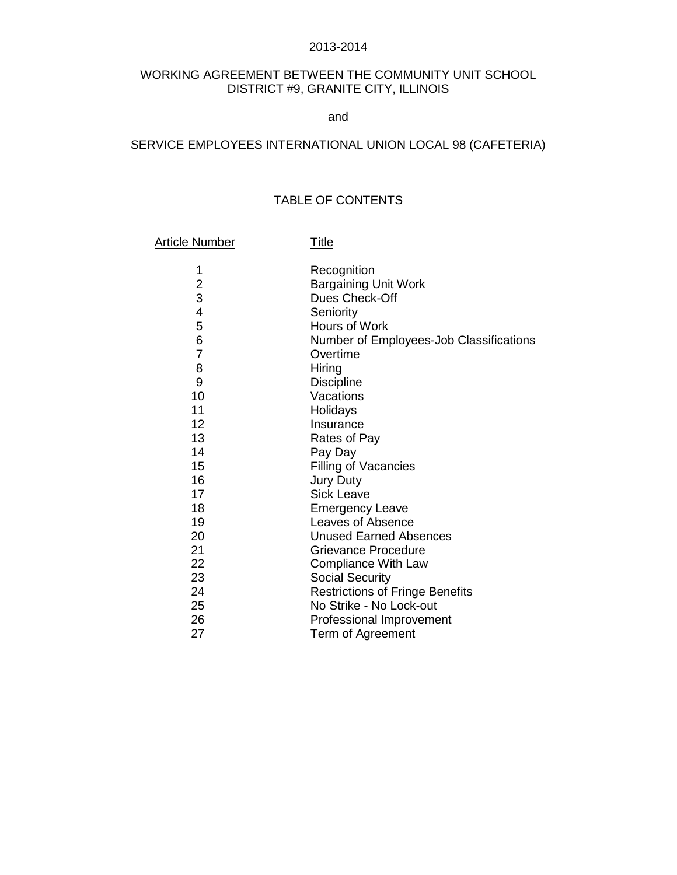#### 2013-2014

# WORKING AGREEMENT BETWEEN THE COMMUNITY UNIT SCHOOL DISTRICT #9, GRANITE CITY, ILLINOIS

and

## SERVICE EMPLOYEES INTERNATIONAL UNION LOCAL 98 (CAFETERIA)

# TABLE OF CONTENTS

#### Article Number Title

1 Recognition 2 Bargaining Unit Work<br>3 Dues Check-Off Dues Check-Off 4 Seniority 5 Hours of Work 6 Number of Employees-Job Classifications 7 Overtime 8 Hiring 9 Discipline<br>10 Vacations Vacations 11 Holidays 12 Insurance 13 Rates of Pay 14 Pay Day 15 Filling of Vacancies 16 Jury Duty 17 Sick Leave 18 **Emergency Leave** 19 Leaves of Absence 20 Unused Earned Absences 21 Grievance Procedure 22 Compliance With Law<br>23 Social Security 23 Social Security<br>24 Restrictions of I **Restrictions of Fringe Benefits** 25 No Strike - No Lock-out<br>26 Professional Improvement Professional Improvement 27 Term of Agreement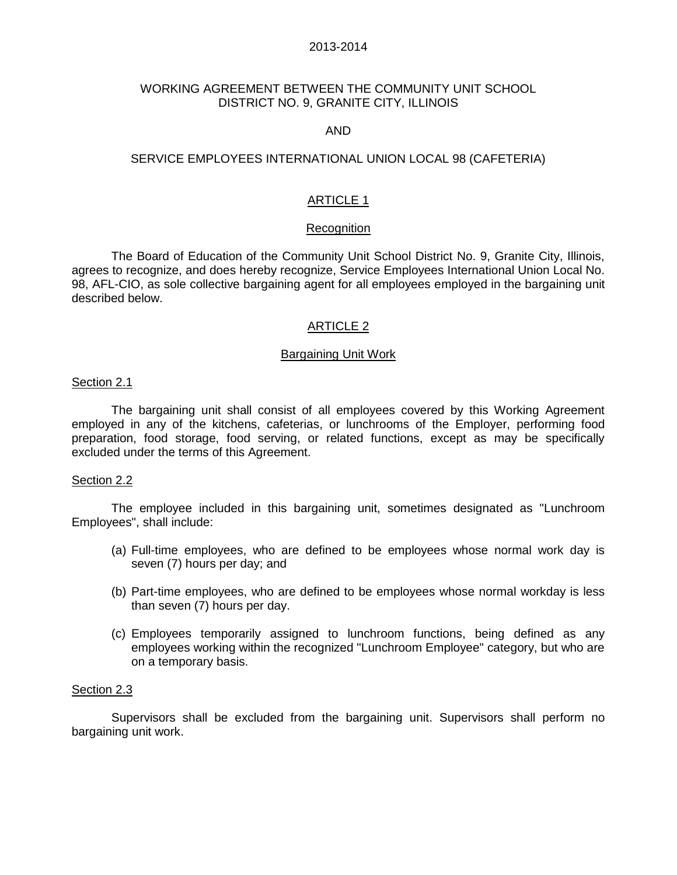## 2013-2014

# WORKING AGREEMENT BETWEEN THE COMMUNITY UNIT SCHOOL DISTRICT NO. 9, GRANITE CITY, ILLINOIS

## AND

## SERVICE EMPLOYEES INTERNATIONAL UNION LOCAL 98 (CAFETERIA)

# ARTICLE 1

### **Recognition**

The Board of Education of the Community Unit School District No. 9, Granite City, Illinois, agrees to recognize, and does hereby recognize, Service Employees International Union Local No. 98, AFL-CIO, as sole collective bargaining agent for all employees employed in the bargaining unit described below.

### ARTICLE 2

### Bargaining Unit Work

### Section 2.1

 The bargaining unit shall consist of all employees covered by this Working Agreement employed in any of the kitchens, cafeterias, or lunchrooms of the Employer, performing food preparation, food storage, food serving, or related functions, except as may be specifically excluded under the terms of this Agreement.

#### Section 2.2

The employee included in this bargaining unit, sometimes designated as "Lunchroom Employees", shall include:

- (a) Full-time employees, who are defined to be employees whose normal work day is seven (7) hours per day; and
- (b) Part-time employees, who are defined to be employees whose normal workday is less than seven (7) hours per day.
- (c) Employees temporarily assigned to lunchroom functions, being defined as any employees working within the recognized "Lunchroom Employee" category, but who are on a temporary basis.

#### Section 2.3

 Supervisors shall be excluded from the bargaining unit. Supervisors shall perform no bargaining unit work.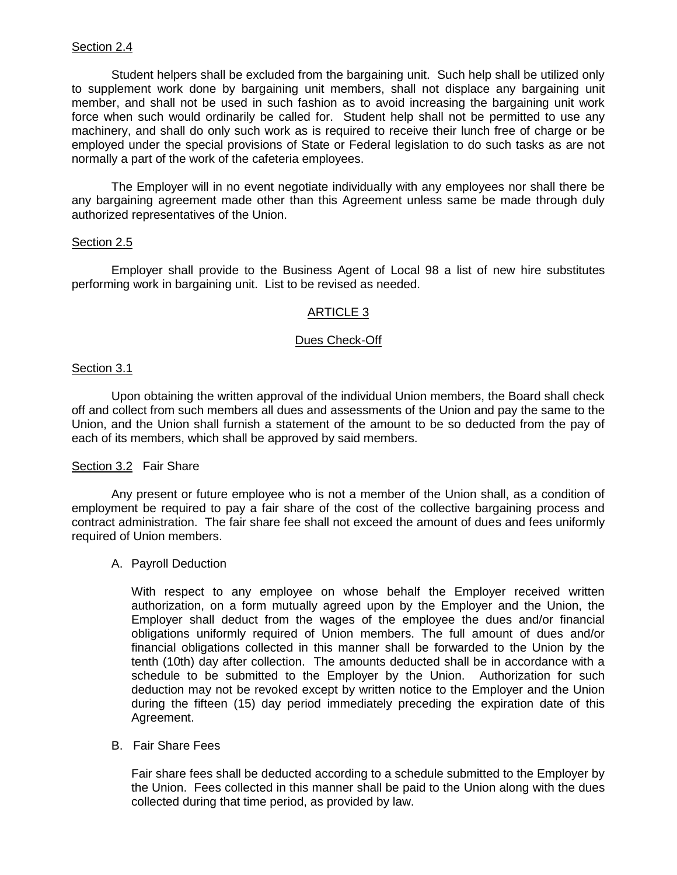Student helpers shall be excluded from the bargaining unit. Such help shall be utilized only to supplement work done by bargaining unit members, shall not displace any bargaining unit member, and shall not be used in such fashion as to avoid increasing the bargaining unit work force when such would ordinarily be called for. Student help shall not be permitted to use any machinery, and shall do only such work as is required to receive their lunch free of charge or be employed under the special provisions of State or Federal legislation to do such tasks as are not normally a part of the work of the cafeteria employees.

 The Employer will in no event negotiate individually with any employees nor shall there be any bargaining agreement made other than this Agreement unless same be made through duly authorized representatives of the Union.

## Section 2.5

Employer shall provide to the Business Agent of Local 98 a list of new hire substitutes performing work in bargaining unit. List to be revised as needed.

# ARTICLE 3

## Dues Check-Off

## Section 3.1

Upon obtaining the written approval of the individual Union members, the Board shall check off and collect from such members all dues and assessments of the Union and pay the same to the Union, and the Union shall furnish a statement of the amount to be so deducted from the pay of each of its members, which shall be approved by said members.

## Section 3.2 Fair Share

 Any present or future employee who is not a member of the Union shall, as a condition of employment be required to pay a fair share of the cost of the collective bargaining process and contract administration. The fair share fee shall not exceed the amount of dues and fees uniformly required of Union members.

## A. Payroll Deduction

 With respect to any employee on whose behalf the Employer received written authorization, on a form mutually agreed upon by the Employer and the Union, the Employer shall deduct from the wages of the employee the dues and/or financial obligations uniformly required of Union members. The full amount of dues and/or financial obligations collected in this manner shall be forwarded to the Union by the tenth (10th) day after collection. The amounts deducted shall be in accordance with a schedule to be submitted to the Employer by the Union. Authorization for such deduction may not be revoked except by written notice to the Employer and the Union during the fifteen (15) day period immediately preceding the expiration date of this Agreement.

## B. Fair Share Fees

Fair share fees shall be deducted according to a schedule submitted to the Employer by the Union. Fees collected in this manner shall be paid to the Union along with the dues collected during that time period, as provided by law.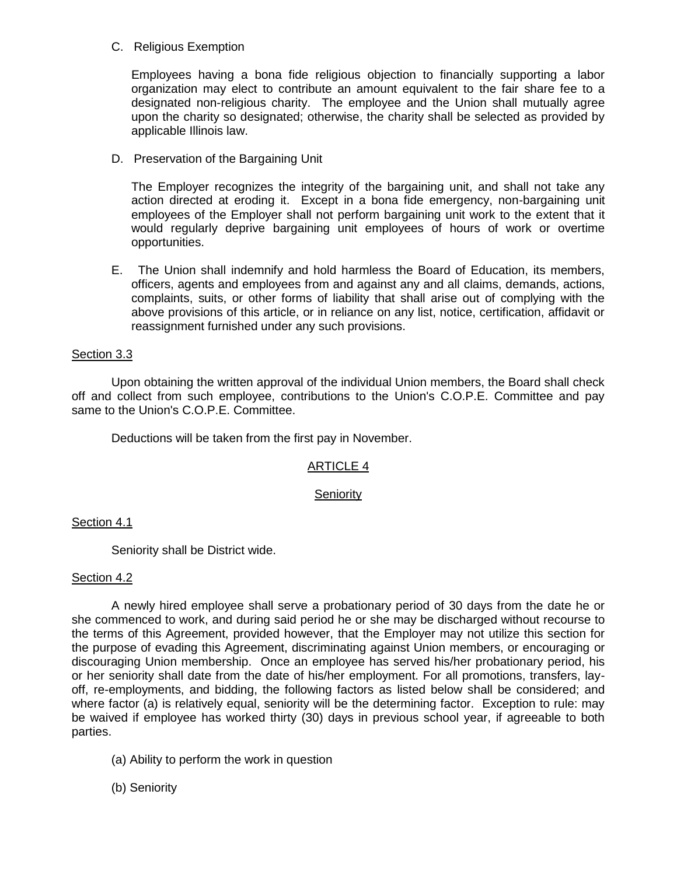# C. Religious Exemption

Employees having a bona fide religious objection to financially supporting a labor organization may elect to contribute an amount equivalent to the fair share fee to a designated non-religious charity. The employee and the Union shall mutually agree upon the charity so designated; otherwise, the charity shall be selected as provided by applicable Illinois law.

D. Preservation of the Bargaining Unit

The Employer recognizes the integrity of the bargaining unit, and shall not take any action directed at eroding it. Except in a bona fide emergency, non-bargaining unit employees of the Employer shall not perform bargaining unit work to the extent that it would regularly deprive bargaining unit employees of hours of work or overtime opportunities.

E. The Union shall indemnify and hold harmless the Board of Education, its members, officers, agents and employees from and against any and all claims, demands, actions, complaints, suits, or other forms of liability that shall arise out of complying with the above provisions of this article, or in reliance on any list, notice, certification, affidavit or reassignment furnished under any such provisions.

# Section 3.3

Upon obtaining the written approval of the individual Union members, the Board shall check off and collect from such employee, contributions to the Union's C.O.P.E. Committee and pay same to the Union's C.O.P.E. Committee.

Deductions will be taken from the first pay in November.

# ARTICLE 4

## **Seniority**

# Section 4.1

Seniority shall be District wide.

## Section 4.2

A newly hired employee shall serve a probationary period of 30 days from the date he or she commenced to work, and during said period he or she may be discharged without recourse to the terms of this Agreement, provided however, that the Employer may not utilize this section for the purpose of evading this Agreement, discriminating against Union members, or encouraging or discouraging Union membership. Once an employee has served his/her probationary period, his or her seniority shall date from the date of his/her employment. For all promotions, transfers, layoff, re-employments, and bidding, the following factors as listed below shall be considered; and where factor (a) is relatively equal, seniority will be the determining factor. Exception to rule: may be waived if employee has worked thirty (30) days in previous school year, if agreeable to both parties.

- (a) Ability to perform the work in question
- (b) Seniority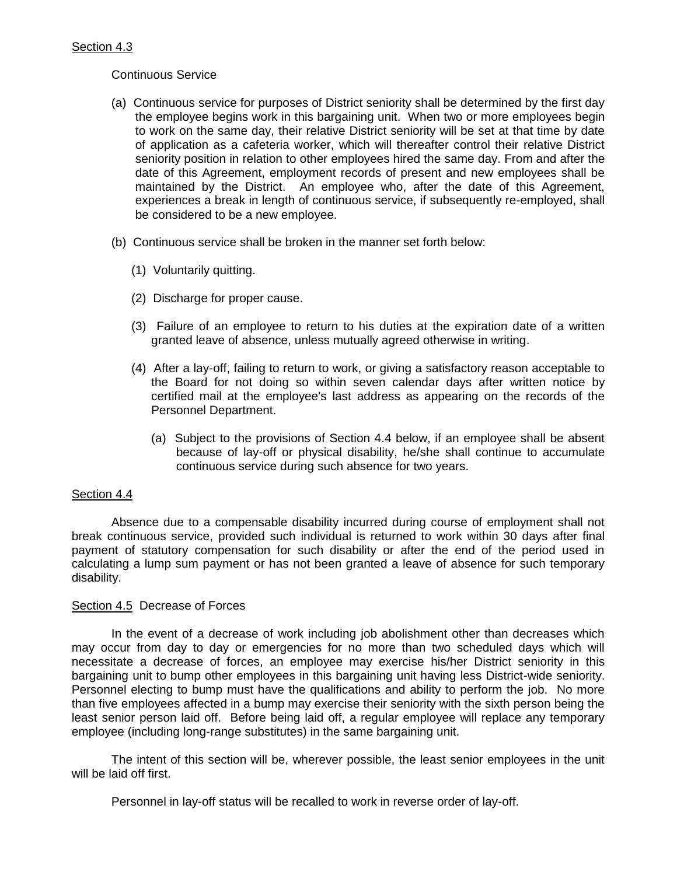# Continuous Service

- (a) Continuous service for purposes of District seniority shall be determined by the first day the employee begins work in this bargaining unit. When two or more employees begin to work on the same day, their relative District seniority will be set at that time by date of application as a cafeteria worker, which will thereafter control their relative District seniority position in relation to other employees hired the same day. From and after the date of this Agreement, employment records of present and new employees shall be maintained by the District. An employee who, after the date of this Agreement, experiences a break in length of continuous service, if subsequently re-employed, shall be considered to be a new employee.
- (b) Continuous service shall be broken in the manner set forth below:
	- (1) Voluntarily quitting.
	- (2) Discharge for proper cause.
	- (3) Failure of an employee to return to his duties at the expiration date of a written granted leave of absence, unless mutually agreed otherwise in writing.
	- (4) After a lay-off, failing to return to work, or giving a satisfactory reason acceptable to the Board for not doing so within seven calendar days after written notice by certified mail at the employee's last address as appearing on the records of the Personnel Department.
		- (a) Subject to the provisions of Section 4.4 below, if an employee shall be absent because of lay-off or physical disability, he/she shall continue to accumulate continuous service during such absence for two years.

# Section 4.4

 Absence due to a compensable disability incurred during course of employment shall not break continuous service, provided such individual is returned to work within 30 days after final payment of statutory compensation for such disability or after the end of the period used in calculating a lump sum payment or has not been granted a leave of absence for such temporary disability.

## Section 4.5 Decrease of Forces

 In the event of a decrease of work including job abolishment other than decreases which may occur from day to day or emergencies for no more than two scheduled days which will necessitate a decrease of forces, an employee may exercise his/her District seniority in this bargaining unit to bump other employees in this bargaining unit having less District-wide seniority. Personnel electing to bump must have the qualifications and ability to perform the job. No more than five employees affected in a bump may exercise their seniority with the sixth person being the least senior person laid off. Before being laid off, a regular employee will replace any temporary employee (including long-range substitutes) in the same bargaining unit.

 The intent of this section will be, wherever possible, the least senior employees in the unit will be laid off first.

Personnel in lay-off status will be recalled to work in reverse order of lay-off.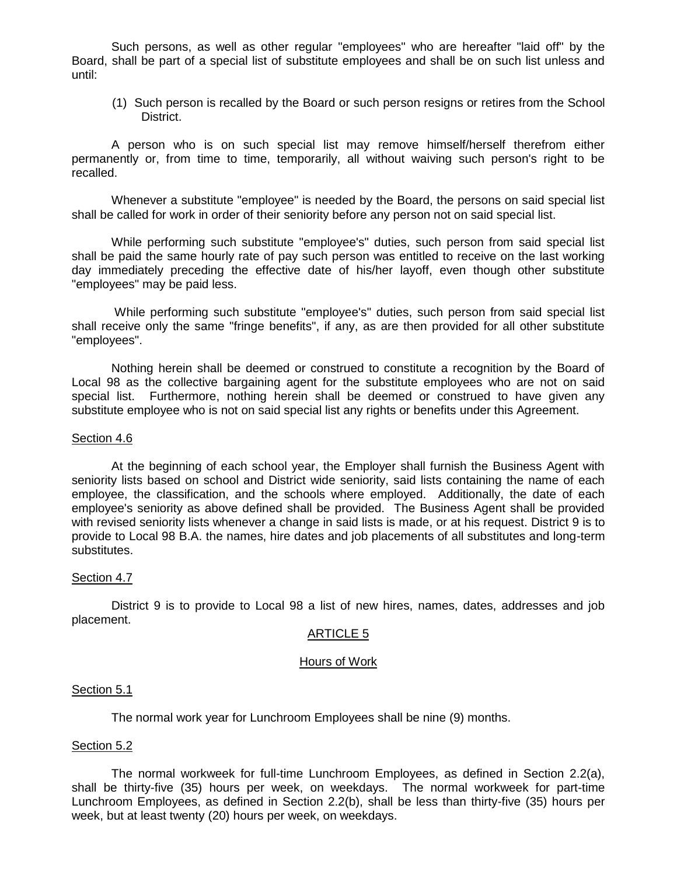Such persons, as well as other regular "employees" who are hereafter "laid off" by the Board, shall be part of a special list of substitute employees and shall be on such list unless and until:

 (1) Such person is recalled by the Board or such person resigns or retires from the School District.

 A person who is on such special list may remove himself/herself therefrom either permanently or, from time to time, temporarily, all without waiving such person's right to be recalled.

 Whenever a substitute "employee" is needed by the Board, the persons on said special list shall be called for work in order of their seniority before any person not on said special list.

 While performing such substitute "employee's" duties, such person from said special list shall be paid the same hourly rate of pay such person was entitled to receive on the last working day immediately preceding the effective date of his/her layoff, even though other substitute "employees" may be paid less.

 While performing such substitute "employee's" duties, such person from said special list shall receive only the same "fringe benefits", if any, as are then provided for all other substitute "employees".

 Nothing herein shall be deemed or construed to constitute a recognition by the Board of Local 98 as the collective bargaining agent for the substitute employees who are not on said special list. Furthermore, nothing herein shall be deemed or construed to have given any substitute employee who is not on said special list any rights or benefits under this Agreement.

#### Section 4.6

 At the beginning of each school year, the Employer shall furnish the Business Agent with seniority lists based on school and District wide seniority, said lists containing the name of each employee, the classification, and the schools where employed. Additionally, the date of each employee's seniority as above defined shall be provided. The Business Agent shall be provided with revised seniority lists whenever a change in said lists is made, or at his request. District 9 is to provide to Local 98 B.A. the names, hire dates and job placements of all substitutes and long-term substitutes.

## Section 4.7

District 9 is to provide to Local 98 a list of new hires, names, dates, addresses and job placement.

#### ARTICLE 5

#### Hours of Work

#### Section 5.1

The normal work year for Lunchroom Employees shall be nine (9) months.

#### Section 5.2

The normal workweek for full-time Lunchroom Employees, as defined in Section 2.2(a), shall be thirty-five (35) hours per week, on weekdays. The normal workweek for part-time Lunchroom Employees, as defined in Section 2.2(b), shall be less than thirty-five (35) hours per week, but at least twenty (20) hours per week, on weekdays.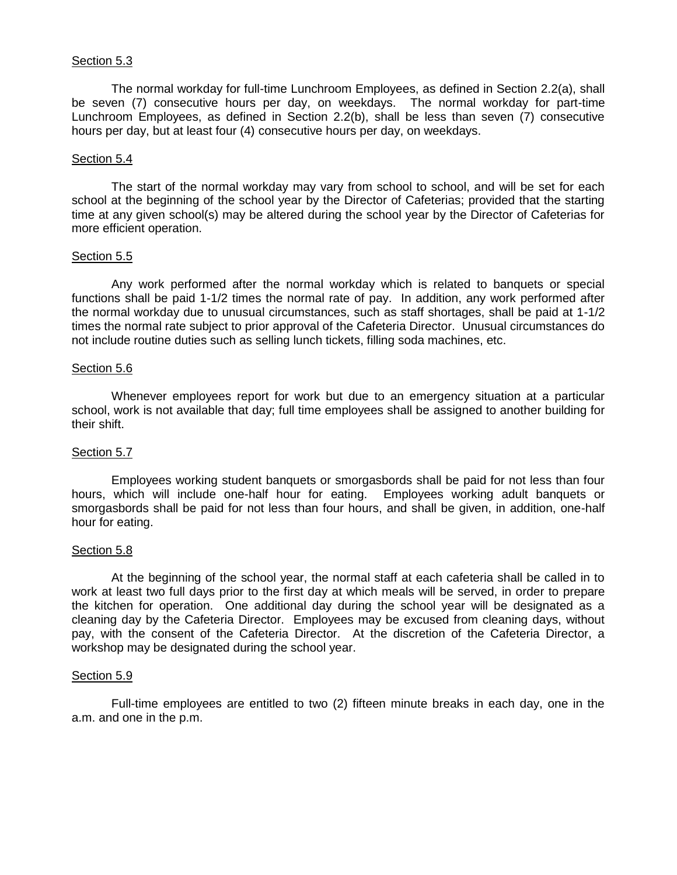## Section 5.3

The normal workday for full-time Lunchroom Employees, as defined in Section 2.2(a), shall be seven (7) consecutive hours per day, on weekdays. The normal workday for part-time Lunchroom Employees, as defined in Section 2.2(b), shall be less than seven (7) consecutive hours per day, but at least four (4) consecutive hours per day, on weekdays.

## Section 5.4

The start of the normal workday may vary from school to school, and will be set for each school at the beginning of the school year by the Director of Cafeterias; provided that the starting time at any given school(s) may be altered during the school year by the Director of Cafeterias for more efficient operation.

## Section 5.5

Any work performed after the normal workday which is related to banquets or special functions shall be paid 1-1/2 times the normal rate of pay. In addition, any work performed after the normal workday due to unusual circumstances, such as staff shortages, shall be paid at 1-1/2 times the normal rate subject to prior approval of the Cafeteria Director. Unusual circumstances do not include routine duties such as selling lunch tickets, filling soda machines, etc.

## Section 5.6

Whenever employees report for work but due to an emergency situation at a particular school, work is not available that day; full time employees shall be assigned to another building for their shift.

# Section 5.7

Employees working student banquets or smorgasbords shall be paid for not less than four hours, which will include one-half hour for eating. Employees working adult banquets or smorgasbords shall be paid for not less than four hours, and shall be given, in addition, one-half hour for eating.

## Section 5.8

At the beginning of the school year, the normal staff at each cafeteria shall be called in to work at least two full days prior to the first day at which meals will be served, in order to prepare the kitchen for operation. One additional day during the school year will be designated as a cleaning day by the Cafeteria Director. Employees may be excused from cleaning days, without pay, with the consent of the Cafeteria Director. At the discretion of the Cafeteria Director, a workshop may be designated during the school year.

## Section 5.9

Full-time employees are entitled to two (2) fifteen minute breaks in each day, one in the a.m. and one in the p.m.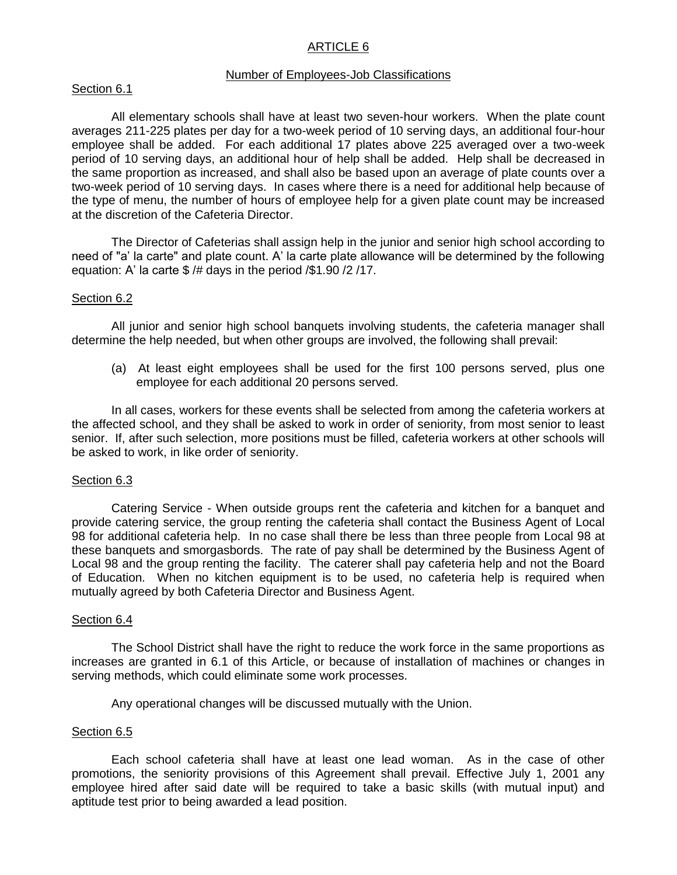# ARTICLE 6

#### Number of Employees-Job Classifications

## Section 6.1

 All elementary schools shall have at least two seven-hour workers. When the plate count averages 211-225 plates per day for a two-week period of 10 serving days, an additional four-hour employee shall be added. For each additional 17 plates above 225 averaged over a two-week period of 10 serving days, an additional hour of help shall be added. Help shall be decreased in the same proportion as increased, and shall also be based upon an average of plate counts over a two-week period of 10 serving days. In cases where there is a need for additional help because of the type of menu, the number of hours of employee help for a given plate count may be increased at the discretion of the Cafeteria Director.

 The Director of Cafeterias shall assign help in the junior and senior high school according to need of "a' la carte" and plate count. A' la carte plate allowance will be determined by the following equation: A' la carte \$ /# days in the period /\$1.90 /2 /17.

### Section 6.2

 All junior and senior high school banquets involving students, the cafeteria manager shall determine the help needed, but when other groups are involved, the following shall prevail:

 (a) At least eight employees shall be used for the first 100 persons served, plus one employee for each additional 20 persons served.

 In all cases, workers for these events shall be selected from among the cafeteria workers at the affected school, and they shall be asked to work in order of seniority, from most senior to least senior. If, after such selection, more positions must be filled, cafeteria workers at other schools will be asked to work, in like order of seniority.

#### Section 6.3

 Catering Service - When outside groups rent the cafeteria and kitchen for a banquet and provide catering service, the group renting the cafeteria shall contact the Business Agent of Local 98 for additional cafeteria help. In no case shall there be less than three people from Local 98 at these banquets and smorgasbords. The rate of pay shall be determined by the Business Agent of Local 98 and the group renting the facility. The caterer shall pay cafeteria help and not the Board of Education. When no kitchen equipment is to be used, no cafeteria help is required when mutually agreed by both Cafeteria Director and Business Agent.

### Section 6.4

 The School District shall have the right to reduce the work force in the same proportions as increases are granted in 6.1 of this Article, or because of installation of machines or changes in serving methods, which could eliminate some work processes.

Any operational changes will be discussed mutually with the Union.

#### Section 6.5

 Each school cafeteria shall have at least one lead woman. As in the case of other promotions, the seniority provisions of this Agreement shall prevail. Effective July 1, 2001 any employee hired after said date will be required to take a basic skills (with mutual input) and aptitude test prior to being awarded a lead position.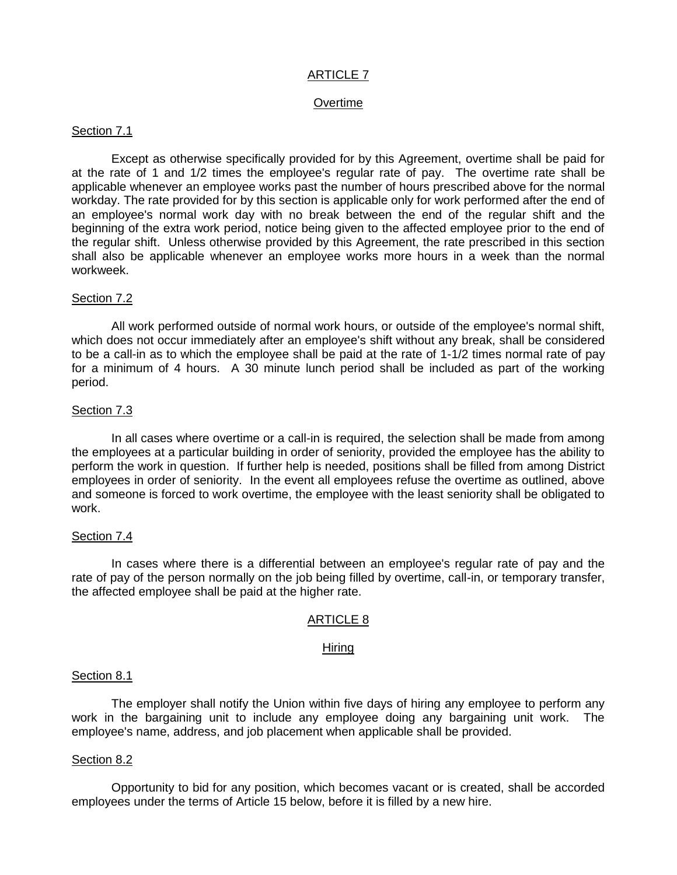# ARTICLE 7

## **Overtime**

## Section 7.1

 Except as otherwise specifically provided for by this Agreement, overtime shall be paid for at the rate of 1 and 1/2 times the employee's regular rate of pay. The overtime rate shall be applicable whenever an employee works past the number of hours prescribed above for the normal workday. The rate provided for by this section is applicable only for work performed after the end of an employee's normal work day with no break between the end of the regular shift and the beginning of the extra work period, notice being given to the affected employee prior to the end of the regular shift. Unless otherwise provided by this Agreement, the rate prescribed in this section shall also be applicable whenever an employee works more hours in a week than the normal workweek.

## Section 7.2

All work performed outside of normal work hours, or outside of the employee's normal shift, which does not occur immediately after an employee's shift without any break, shall be considered to be a call-in as to which the employee shall be paid at the rate of 1-1/2 times normal rate of pay for a minimum of 4 hours. A 30 minute lunch period shall be included as part of the working period.

## Section 7.3

In all cases where overtime or a call-in is required, the selection shall be made from among the employees at a particular building in order of seniority, provided the employee has the ability to perform the work in question. If further help is needed, positions shall be filled from among District employees in order of seniority. In the event all employees refuse the overtime as outlined, above and someone is forced to work overtime, the employee with the least seniority shall be obligated to work.

## Section 7.4

In cases where there is a differential between an employee's regular rate of pay and the rate of pay of the person normally on the job being filled by overtime, call-in, or temporary transfer, the affected employee shall be paid at the higher rate.

## ARTICLE 8

#### Hiring

#### Section 8.1

 The employer shall notify the Union within five days of hiring any employee to perform any work in the bargaining unit to include any employee doing any bargaining unit work. The employee's name, address, and job placement when applicable shall be provided.

#### Section 8.2

 Opportunity to bid for any position, which becomes vacant or is created, shall be accorded employees under the terms of Article 15 below, before it is filled by a new hire.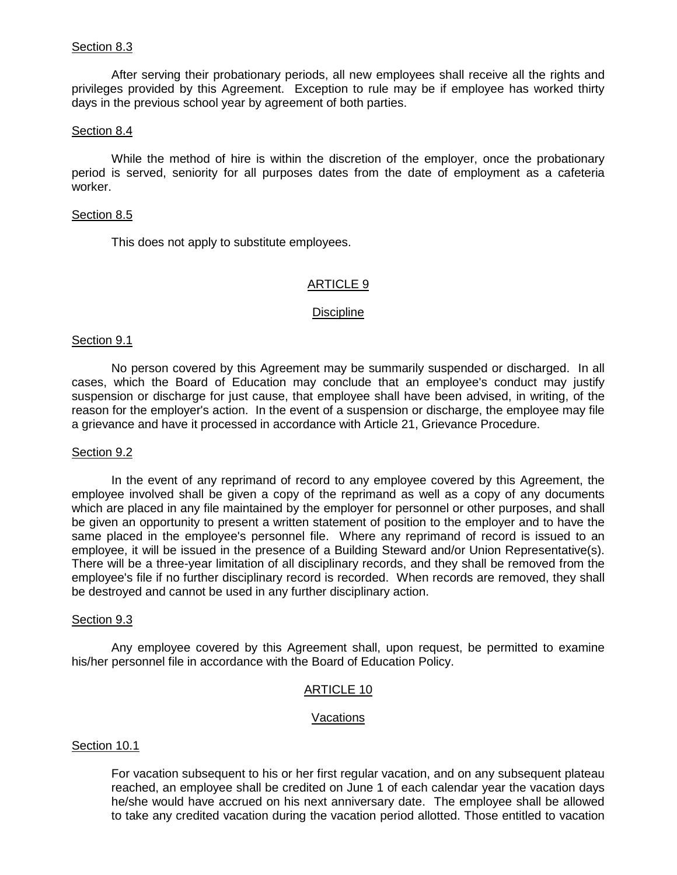## Section 8.3

 After serving their probationary periods, all new employees shall receive all the rights and privileges provided by this Agreement. Exception to rule may be if employee has worked thirty days in the previous school year by agreement of both parties.

## Section 8.4

 While the method of hire is within the discretion of the employer, once the probationary period is served, seniority for all purposes dates from the date of employment as a cafeteria worker.

## Section 8.5

This does not apply to substitute employees.

# ARTICLE 9

## Discipline

## Section 9.1

 No person covered by this Agreement may be summarily suspended or discharged. In all cases, which the Board of Education may conclude that an employee's conduct may justify suspension or discharge for just cause, that employee shall have been advised, in writing, of the reason for the employer's action. In the event of a suspension or discharge, the employee may file a grievance and have it processed in accordance with Article 21, Grievance Procedure.

## Section 9.2

 In the event of any reprimand of record to any employee covered by this Agreement, the employee involved shall be given a copy of the reprimand as well as a copy of any documents which are placed in any file maintained by the employer for personnel or other purposes, and shall be given an opportunity to present a written statement of position to the employer and to have the same placed in the employee's personnel file. Where any reprimand of record is issued to an employee, it will be issued in the presence of a Building Steward and/or Union Representative(s). There will be a three-year limitation of all disciplinary records, and they shall be removed from the employee's file if no further disciplinary record is recorded. When records are removed, they shall be destroyed and cannot be used in any further disciplinary action.

## Section 9.3

 Any employee covered by this Agreement shall, upon request, be permitted to examine his/her personnel file in accordance with the Board of Education Policy.

# ARTICLE 10

## **Vacations**

## Section 10.1

 For vacation subsequent to his or her first regular vacation, and on any subsequent plateau reached, an employee shall be credited on June 1 of each calendar year the vacation days he/she would have accrued on his next anniversary date. The employee shall be allowed to take any credited vacation during the vacation period allotted. Those entitled to vacation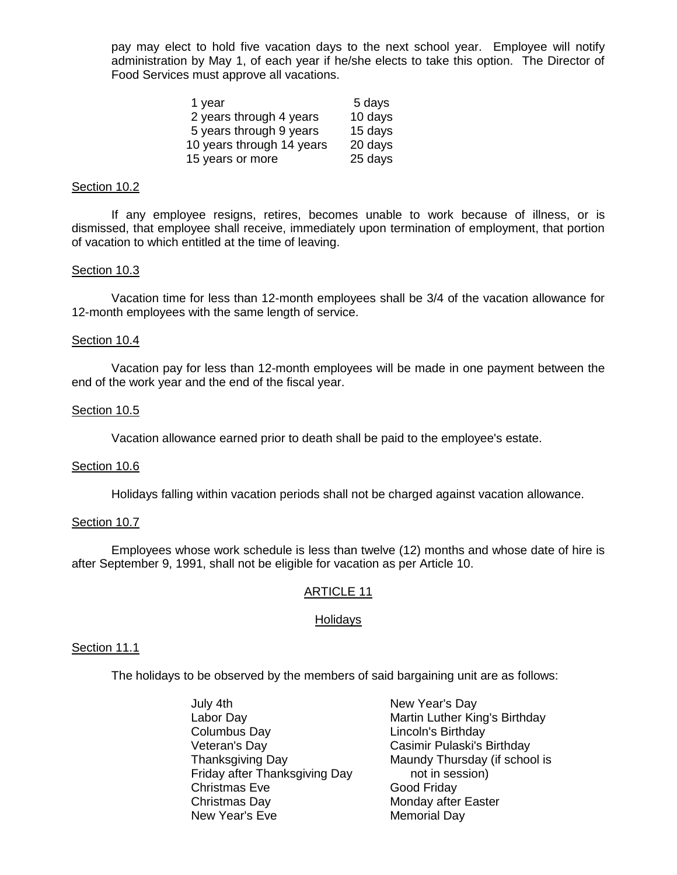pay may elect to hold five vacation days to the next school year. Employee will notify administration by May 1, of each year if he/she elects to take this option. The Director of Food Services must approve all vacations.

| 1 year                    | 5 days  |
|---------------------------|---------|
| 2 years through 4 years   | 10 days |
| 5 years through 9 years   | 15 days |
| 10 years through 14 years | 20 days |
| 15 years or more          | 25 days |

#### Section 10.2

 If any employee resigns, retires, becomes unable to work because of illness, or is dismissed, that employee shall receive, immediately upon termination of employment, that portion of vacation to which entitled at the time of leaving.

### Section 10.3

 Vacation time for less than 12-month employees shall be 3/4 of the vacation allowance for 12-month employees with the same length of service.

### Section 10.4

 Vacation pay for less than 12-month employees will be made in one payment between the end of the work year and the end of the fiscal year.

#### Section 10.5

Vacation allowance earned prior to death shall be paid to the employee's estate.

#### Section 10.6

Holidays falling within vacation periods shall not be charged against vacation allowance.

#### Section 10.7

Employees whose work schedule is less than twelve (12) months and whose date of hire is after September 9, 1991, shall not be eligible for vacation as per Article 10.

## ARTICLE 11

## **Holidays**

#### Section 11.1

The holidays to be observed by the members of said bargaining unit are as follows:

July 4th **New Year's Day** Labor Day **Martin Luther King's Birthday**  Columbus Day Lincoln's Birthday Veteran's Day Casimir Pulaski's Birthday Thanksgiving Day Maundy Thursday (if school is Friday after Thanksgiving Day hot in session) Christmas Eve Good Friday Christmas Day **Monday after Easter** New Year's Eve **Memorial Day**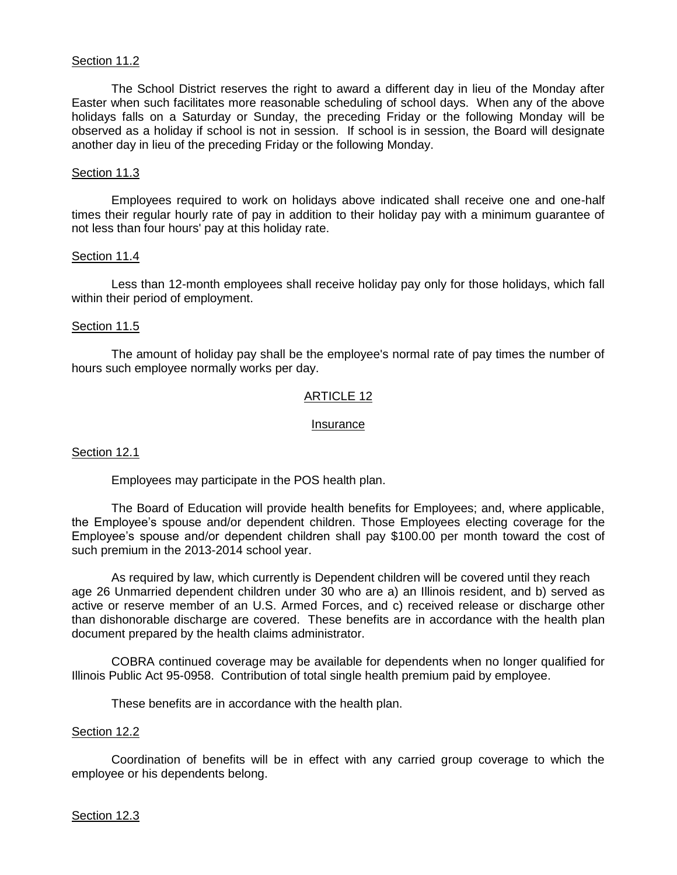# Section 11.2

 The School District reserves the right to award a different day in lieu of the Monday after Easter when such facilitates more reasonable scheduling of school days. When any of the above holidays falls on a Saturday or Sunday, the preceding Friday or the following Monday will be observed as a holiday if school is not in session. If school is in session, the Board will designate another day in lieu of the preceding Friday or the following Monday.

## Section 11.3

 Employees required to work on holidays above indicated shall receive one and one-half times their regular hourly rate of pay in addition to their holiday pay with a minimum guarantee of not less than four hours' pay at this holiday rate.

### Section 11.4

Less than 12-month employees shall receive holiday pay only for those holidays, which fall within their period of employment.

### Section 11.5

The amount of holiday pay shall be the employee's normal rate of pay times the number of hours such employee normally works per day.

## ARTICLE 12

#### Insurance

## Section 12.1

Employees may participate in the POS health plan.

The Board of Education will provide health benefits for Employees; and, where applicable, the Employee's spouse and/or dependent children. Those Employees electing coverage for the Employee's spouse and/or dependent children shall pay \$100.00 per month toward the cost of such premium in the 2013-2014 school year.

As required by law, which currently is Dependent children will be covered until they reach age 26 Unmarried dependent children under 30 who are a) an Illinois resident, and b) served as active or reserve member of an U.S. Armed Forces, and c) received release or discharge other than dishonorable discharge are covered. These benefits are in accordance with the health plan document prepared by the health claims administrator.

COBRA continued coverage may be available for dependents when no longer qualified for Illinois Public Act 95-0958. Contribution of total single health premium paid by employee.

These benefits are in accordance with the health plan.

#### Section 12.2

Coordination of benefits will be in effect with any carried group coverage to which the employee or his dependents belong.

#### Section 12.3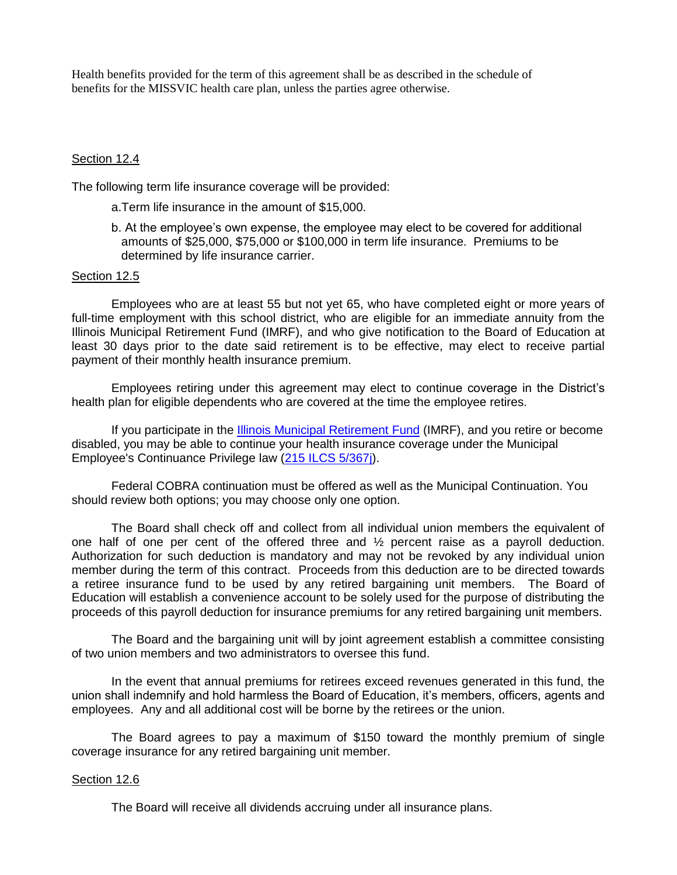Health benefits provided for the term of this agreement shall be as described in the schedule of benefits for the MISSVIC health care plan, unless the parties agree otherwise.

## Section 12.4

The following term life insurance coverage will be provided:

- a.Term life insurance in the amount of \$15,000.
- b. At the employee's own expense, the employee may elect to be covered for additional amounts of \$25,000, \$75,000 or \$100,000 in term life insurance. Premiums to be determined by life insurance carrier.

## Section 12.5

Employees who are at least 55 but not yet 65, who have completed eight or more years of full-time employment with this school district, who are eligible for an immediate annuity from the Illinois Municipal Retirement Fund (IMRF), and who give notification to the Board of Education at least 30 days prior to the date said retirement is to be effective, may elect to receive partial payment of their monthly health insurance premium.

Employees retiring under this agreement may elect to continue coverage in the District's health plan for eligible dependents who are covered at the time the employee retires.

If you participate in the **Illinois Municipal Retirement Fund** (IMRF), and you retire or become disabled, you may be able to continue your health insurance coverage under the Municipal Employee's Continuance Privilege law [\(215 ILCS 5/367j\)](http://www.imrf.org/legislation/IL_insurance_code.htm#367j).

Federal COBRA continuation must be offered as well as the Municipal Continuation. You should review both options; you may choose only one option.

The Board shall check off and collect from all individual union members the equivalent of one half of one per cent of the offered three and ½ percent raise as a payroll deduction. Authorization for such deduction is mandatory and may not be revoked by any individual union member during the term of this contract. Proceeds from this deduction are to be directed towards a retiree insurance fund to be used by any retired bargaining unit members. The Board of Education will establish a convenience account to be solely used for the purpose of distributing the proceeds of this payroll deduction for insurance premiums for any retired bargaining unit members.

The Board and the bargaining unit will by joint agreement establish a committee consisting of two union members and two administrators to oversee this fund.

In the event that annual premiums for retirees exceed revenues generated in this fund, the union shall indemnify and hold harmless the Board of Education, it's members, officers, agents and employees. Any and all additional cost will be borne by the retirees or the union.

The Board agrees to pay a maximum of \$150 toward the monthly premium of single coverage insurance for any retired bargaining unit member.

## Section 12.6

The Board will receive all dividends accruing under all insurance plans.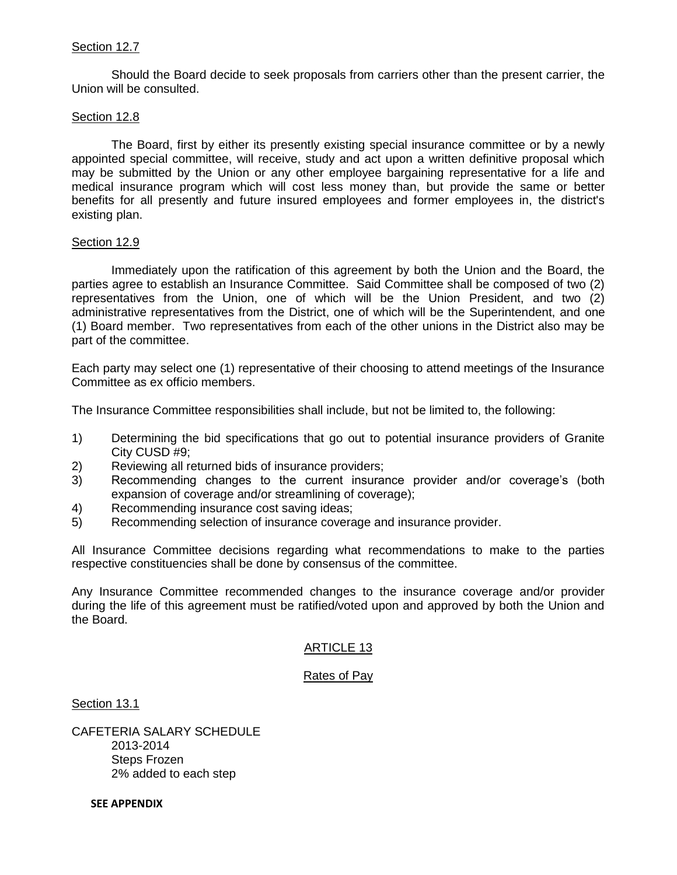# Section 12.7

 Should the Board decide to seek proposals from carriers other than the present carrier, the Union will be consulted.

## Section 12.8

 The Board, first by either its presently existing special insurance committee or by a newly appointed special committee, will receive, study and act upon a written definitive proposal which may be submitted by the Union or any other employee bargaining representative for a life and medical insurance program which will cost less money than, but provide the same or better benefits for all presently and future insured employees and former employees in, the district's existing plan.

## Section 12.9

Immediately upon the ratification of this agreement by both the Union and the Board, the parties agree to establish an Insurance Committee. Said Committee shall be composed of two (2) representatives from the Union, one of which will be the Union President, and two (2) administrative representatives from the District, one of which will be the Superintendent, and one (1) Board member. Two representatives from each of the other unions in the District also may be part of the committee.

Each party may select one (1) representative of their choosing to attend meetings of the Insurance Committee as ex officio members.

The Insurance Committee responsibilities shall include, but not be limited to, the following:

- 1) Determining the bid specifications that go out to potential insurance providers of Granite City CUSD #9;
- 2) Reviewing all returned bids of insurance providers;
- 3) Recommending changes to the current insurance provider and/or coverage's (both expansion of coverage and/or streamlining of coverage);
- 4) Recommending insurance cost saving ideas;
- 5) Recommending selection of insurance coverage and insurance provider.

All Insurance Committee decisions regarding what recommendations to make to the parties respective constituencies shall be done by consensus of the committee.

Any Insurance Committee recommended changes to the insurance coverage and/or provider during the life of this agreement must be ratified/voted upon and approved by both the Union and the Board.

## ARTICLE 13

## Rates of Pay

Section 13.1

CAFETERIA SALARY SCHEDULE 2013-2014 Steps Frozen 2% added to each step

 **SEE APPENDIX**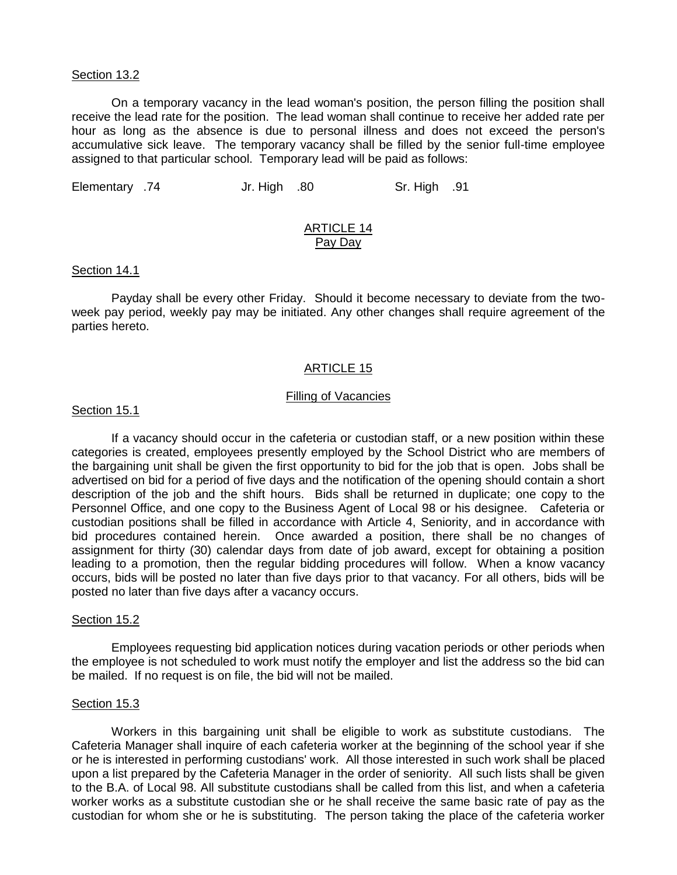#### Section 13.2

On a temporary vacancy in the lead woman's position, the person filling the position shall receive the lead rate for the position. The lead woman shall continue to receive her added rate per hour as long as the absence is due to personal illness and does not exceed the person's accumulative sick leave. The temporary vacancy shall be filled by the senior full-time employee assigned to that particular school. Temporary lead will be paid as follows:

Elementary .74 Jr. High .80 Sr. High .91

# ARTICLE 14 Pay Day

#### Section 14.1

 Payday shall be every other Friday. Should it become necessary to deviate from the twoweek pay period, weekly pay may be initiated. Any other changes shall require agreement of the parties hereto.

## ARTICLE 15

### Filling of Vacancies

#### Section 15.1

 If a vacancy should occur in the cafeteria or custodian staff, or a new position within these categories is created, employees presently employed by the School District who are members of the bargaining unit shall be given the first opportunity to bid for the job that is open. Jobs shall be advertised on bid for a period of five days and the notification of the opening should contain a short description of the job and the shift hours. Bids shall be returned in duplicate; one copy to the Personnel Office, and one copy to the Business Agent of Local 98 or his designee. Cafeteria or custodian positions shall be filled in accordance with Article 4, Seniority, and in accordance with bid procedures contained herein. Once awarded a position, there shall be no changes of assignment for thirty (30) calendar days from date of job award, except for obtaining a position leading to a promotion, then the regular bidding procedures will follow. When a know vacancy occurs, bids will be posted no later than five days prior to that vacancy. For all others, bids will be posted no later than five days after a vacancy occurs.

### Section 15.2

 Employees requesting bid application notices during vacation periods or other periods when the employee is not scheduled to work must notify the employer and list the address so the bid can be mailed. If no request is on file, the bid will not be mailed.

#### Section 15.3

 Workers in this bargaining unit shall be eligible to work as substitute custodians. The Cafeteria Manager shall inquire of each cafeteria worker at the beginning of the school year if she or he is interested in performing custodians' work. All those interested in such work shall be placed upon a list prepared by the Cafeteria Manager in the order of seniority. All such lists shall be given to the B.A. of Local 98. All substitute custodians shall be called from this list, and when a cafeteria worker works as a substitute custodian she or he shall receive the same basic rate of pay as the custodian for whom she or he is substituting. The person taking the place of the cafeteria worker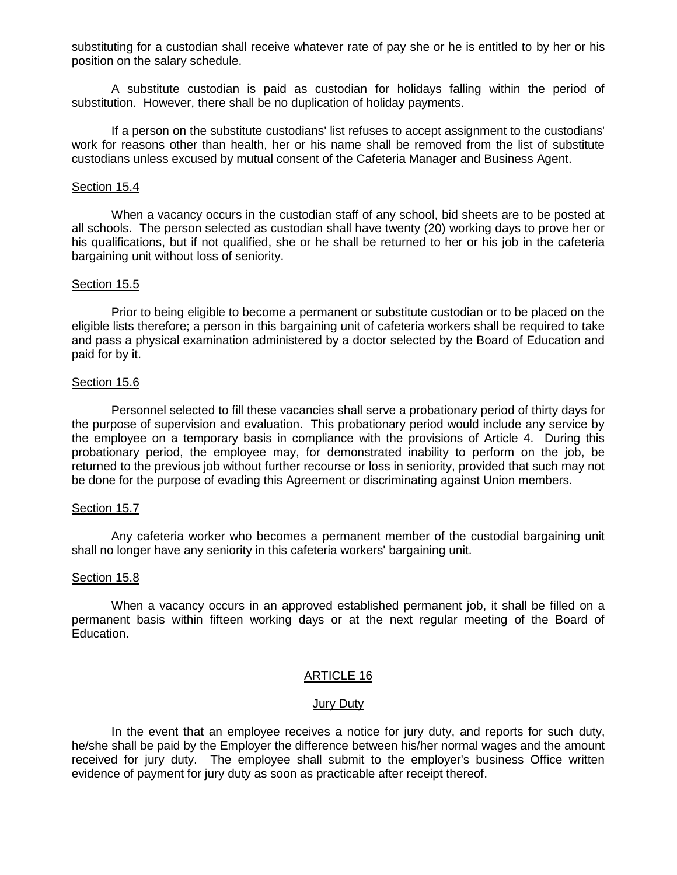substituting for a custodian shall receive whatever rate of pay she or he is entitled to by her or his position on the salary schedule.

 A substitute custodian is paid as custodian for holidays falling within the period of substitution. However, there shall be no duplication of holiday payments.

 If a person on the substitute custodians' list refuses to accept assignment to the custodians' work for reasons other than health, her or his name shall be removed from the list of substitute custodians unless excused by mutual consent of the Cafeteria Manager and Business Agent.

#### Section 15.4

 When a vacancy occurs in the custodian staff of any school, bid sheets are to be posted at all schools. The person selected as custodian shall have twenty (20) working days to prove her or his qualifications, but if not qualified, she or he shall be returned to her or his job in the cafeteria bargaining unit without loss of seniority.

### Section 15.5

 Prior to being eligible to become a permanent or substitute custodian or to be placed on the eligible lists therefore; a person in this bargaining unit of cafeteria workers shall be required to take and pass a physical examination administered by a doctor selected by the Board of Education and paid for by it.

### Section 15.6

 Personnel selected to fill these vacancies shall serve a probationary period of thirty days for the purpose of supervision and evaluation. This probationary period would include any service by the employee on a temporary basis in compliance with the provisions of Article 4. During this probationary period, the employee may, for demonstrated inability to perform on the job, be returned to the previous job without further recourse or loss in seniority, provided that such may not be done for the purpose of evading this Agreement or discriminating against Union members.

#### Section 15.7

 Any cafeteria worker who becomes a permanent member of the custodial bargaining unit shall no longer have any seniority in this cafeteria workers' bargaining unit.

#### Section 15.8

 When a vacancy occurs in an approved established permanent job, it shall be filled on a permanent basis within fifteen working days or at the next regular meeting of the Board of Education.

## ARTICLE 16

#### Jury Duty

 In the event that an employee receives a notice for jury duty, and reports for such duty, he/she shall be paid by the Employer the difference between his/her normal wages and the amount received for jury duty. The employee shall submit to the employer's business Office written evidence of payment for jury duty as soon as practicable after receipt thereof.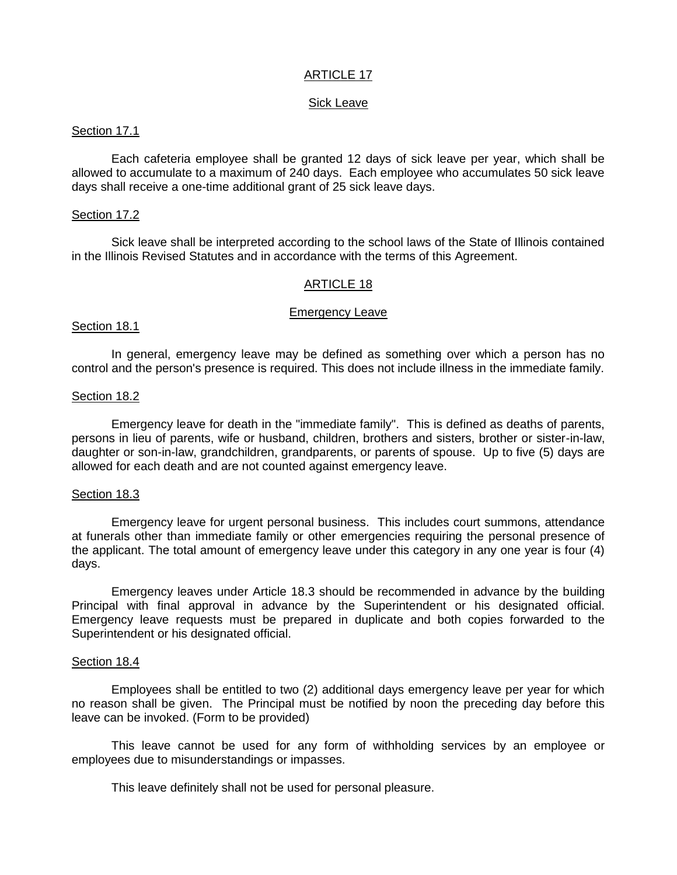# ARTICLE 17

## Sick Leave

### Section 17.1

Each cafeteria employee shall be granted 12 days of sick leave per year, which shall be allowed to accumulate to a maximum of 240 days. Each employee who accumulates 50 sick leave days shall receive a one-time additional grant of 25 sick leave days.

### Section 17.2

 Sick leave shall be interpreted according to the school laws of the State of Illinois contained in the Illinois Revised Statutes and in accordance with the terms of this Agreement.

## ARTICLE 18

#### Emergency Leave

Section 18.1

 In general, emergency leave may be defined as something over which a person has no control and the person's presence is required. This does not include illness in the immediate family.

### Section 18.2

 Emergency leave for death in the "immediate family". This is defined as deaths of parents, persons in lieu of parents, wife or husband, children, brothers and sisters, brother or sister-in-law, daughter or son-in-law, grandchildren, grandparents, or parents of spouse. Up to five (5) days are allowed for each death and are not counted against emergency leave.

#### Section 18.3

 Emergency leave for urgent personal business. This includes court summons, attendance at funerals other than immediate family or other emergencies requiring the personal presence of the applicant. The total amount of emergency leave under this category in any one year is four (4) days.

 Emergency leaves under Article 18.3 should be recommended in advance by the building Principal with final approval in advance by the Superintendent or his designated official. Emergency leave requests must be prepared in duplicate and both copies forwarded to the Superintendent or his designated official.

#### Section 18.4

 Employees shall be entitled to two (2) additional days emergency leave per year for which no reason shall be given. The Principal must be notified by noon the preceding day before this leave can be invoked. (Form to be provided)

 This leave cannot be used for any form of withholding services by an employee or employees due to misunderstandings or impasses.

This leave definitely shall not be used for personal pleasure.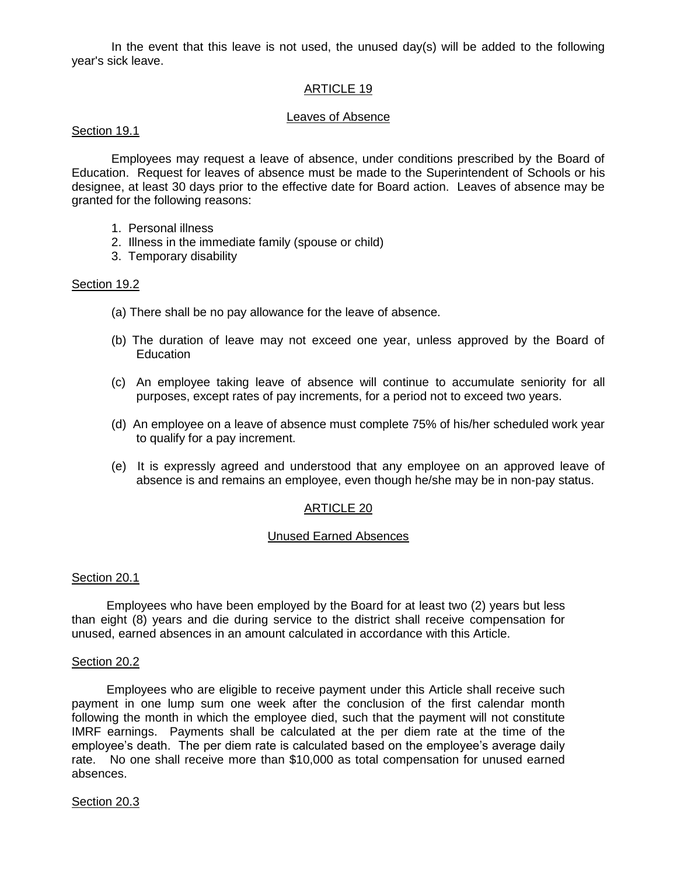In the event that this leave is not used, the unused day(s) will be added to the following year's sick leave.

# ARTICLE 19

## Leaves of Absence

## Section 19.1

 Employees may request a leave of absence, under conditions prescribed by the Board of Education. Request for leaves of absence must be made to the Superintendent of Schools or his designee, at least 30 days prior to the effective date for Board action. Leaves of absence may be granted for the following reasons:

- 1. Personal illness
- 2. Illness in the immediate family (spouse or child)
- 3. Temporary disability

## Section 19.2

- (a) There shall be no pay allowance for the leave of absence.
- (b) The duration of leave may not exceed one year, unless approved by the Board of **Education**
- (c) An employee taking leave of absence will continue to accumulate seniority for all purposes, except rates of pay increments, for a period not to exceed two years.
- (d) An employee on a leave of absence must complete 75% of his/her scheduled work year to qualify for a pay increment.
- (e) It is expressly agreed and understood that any employee on an approved leave of absence is and remains an employee, even though he/she may be in non-pay status.

## ARTICLE 20

#### Unused Earned Absences

## Section 20.1

Employees who have been employed by the Board for at least two (2) years but less than eight (8) years and die during service to the district shall receive compensation for unused, earned absences in an amount calculated in accordance with this Article.

#### Section 20.2

Employees who are eligible to receive payment under this Article shall receive such payment in one lump sum one week after the conclusion of the first calendar month following the month in which the employee died, such that the payment will not constitute IMRF earnings. Payments shall be calculated at the per diem rate at the time of the employee's death. The per diem rate is calculated based on the employee's average daily rate. No one shall receive more than \$10,000 as total compensation for unused earned absences.

## Section 20.3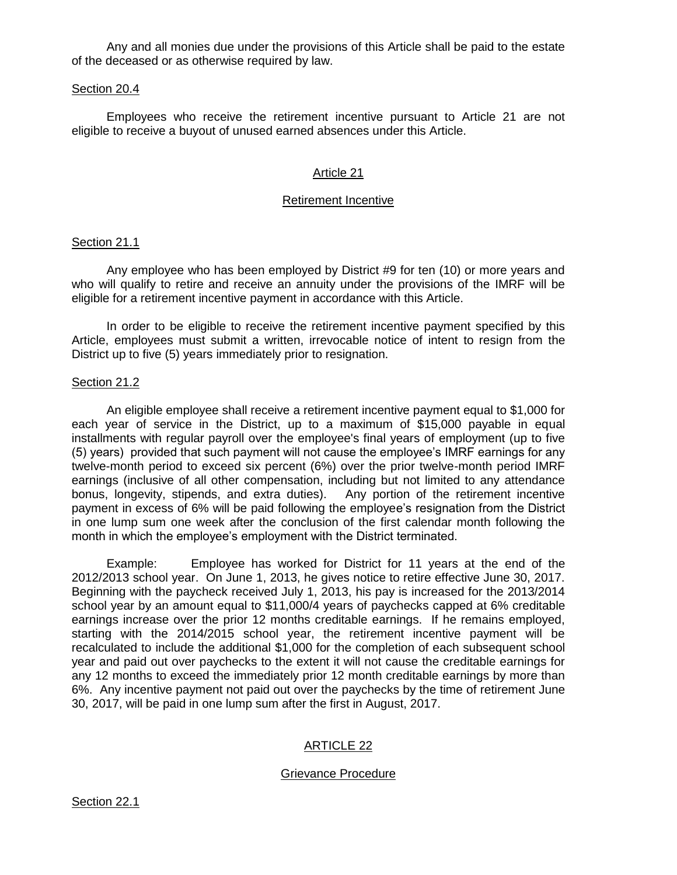Any and all monies due under the provisions of this Article shall be paid to the estate of the deceased or as otherwise required by law.

#### Section 20.4

Employees who receive the retirement incentive pursuant to Article 21 are not eligible to receive a buyout of unused earned absences under this Article.

## Article 21

## Retirement Incentive

## Section 21.1

Any employee who has been employed by District #9 for ten (10) or more years and who will qualify to retire and receive an annuity under the provisions of the IMRF will be eligible for a retirement incentive payment in accordance with this Article.

In order to be eligible to receive the retirement incentive payment specified by this Article, employees must submit a written, irrevocable notice of intent to resign from the District up to five (5) years immediately prior to resignation.

# Section 21.2

An eligible employee shall receive a retirement incentive payment equal to \$1,000 for each year of service in the District, up to a maximum of \$15,000 payable in equal installments with regular payroll over the employee's final years of employment (up to five (5) years) provided that such payment will not cause the employee's IMRF earnings for any twelve-month period to exceed six percent (6%) over the prior twelve-month period IMRF earnings (inclusive of all other compensation, including but not limited to any attendance bonus, longevity, stipends, and extra duties). Any portion of the retirement incentive payment in excess of 6% will be paid following the employee's resignation from the District in one lump sum one week after the conclusion of the first calendar month following the month in which the employee's employment with the District terminated.

Example: Employee has worked for District for 11 years at the end of the 2012/2013 school year. On June 1, 2013, he gives notice to retire effective June 30, 2017. Beginning with the paycheck received July 1, 2013, his pay is increased for the 2013/2014 school year by an amount equal to \$11,000/4 years of paychecks capped at 6% creditable earnings increase over the prior 12 months creditable earnings. If he remains employed, starting with the 2014/2015 school year, the retirement incentive payment will be recalculated to include the additional \$1,000 for the completion of each subsequent school year and paid out over paychecks to the extent it will not cause the creditable earnings for any 12 months to exceed the immediately prior 12 month creditable earnings by more than 6%. Any incentive payment not paid out over the paychecks by the time of retirement June 30, 2017, will be paid in one lump sum after the first in August, 2017.

# ARTICLE 22

## Grievance Procedure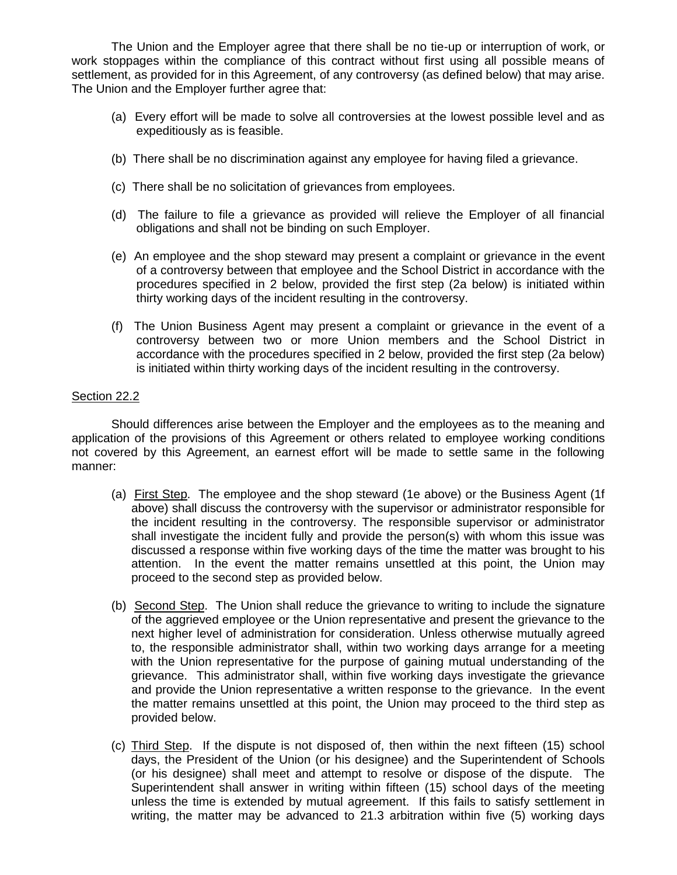The Union and the Employer agree that there shall be no tie-up or interruption of work, or work stoppages within the compliance of this contract without first using all possible means of settlement, as provided for in this Agreement, of any controversy (as defined below) that may arise. The Union and the Employer further agree that:

- (a) Every effort will be made to solve all controversies at the lowest possible level and as expeditiously as is feasible.
- (b) There shall be no discrimination against any employee for having filed a grievance.
- (c) There shall be no solicitation of grievances from employees.
- (d) The failure to file a grievance as provided will relieve the Employer of all financial obligations and shall not be binding on such Employer.
- (e) An employee and the shop steward may present a complaint or grievance in the event of a controversy between that employee and the School District in accordance with the procedures specified in 2 below, provided the first step (2a below) is initiated within thirty working days of the incident resulting in the controversy.
- (f) The Union Business Agent may present a complaint or grievance in the event of a controversy between two or more Union members and the School District in accordance with the procedures specified in 2 below, provided the first step (2a below) is initiated within thirty working days of the incident resulting in the controversy.

# Section 22.2

 Should differences arise between the Employer and the employees as to the meaning and application of the provisions of this Agreement or others related to employee working conditions not covered by this Agreement, an earnest effort will be made to settle same in the following manner:

- (a) First Step. The employee and the shop steward (1e above) or the Business Agent (1f above) shall discuss the controversy with the supervisor or administrator responsible for the incident resulting in the controversy. The responsible supervisor or administrator shall investigate the incident fully and provide the person(s) with whom this issue was discussed a response within five working days of the time the matter was brought to his attention. In the event the matter remains unsettled at this point, the Union may proceed to the second step as provided below.
- (b) Second Step. The Union shall reduce the grievance to writing to include the signature of the aggrieved employee or the Union representative and present the grievance to the next higher level of administration for consideration. Unless otherwise mutually agreed to, the responsible administrator shall, within two working days arrange for a meeting with the Union representative for the purpose of gaining mutual understanding of the grievance. This administrator shall, within five working days investigate the grievance and provide the Union representative a written response to the grievance. In the event the matter remains unsettled at this point, the Union may proceed to the third step as provided below.
- (c) Third Step. If the dispute is not disposed of, then within the next fifteen (15) school days, the President of the Union (or his designee) and the Superintendent of Schools (or his designee) shall meet and attempt to resolve or dispose of the dispute. The Superintendent shall answer in writing within fifteen (15) school days of the meeting unless the time is extended by mutual agreement. If this fails to satisfy settlement in writing, the matter may be advanced to 21.3 arbitration within five (5) working days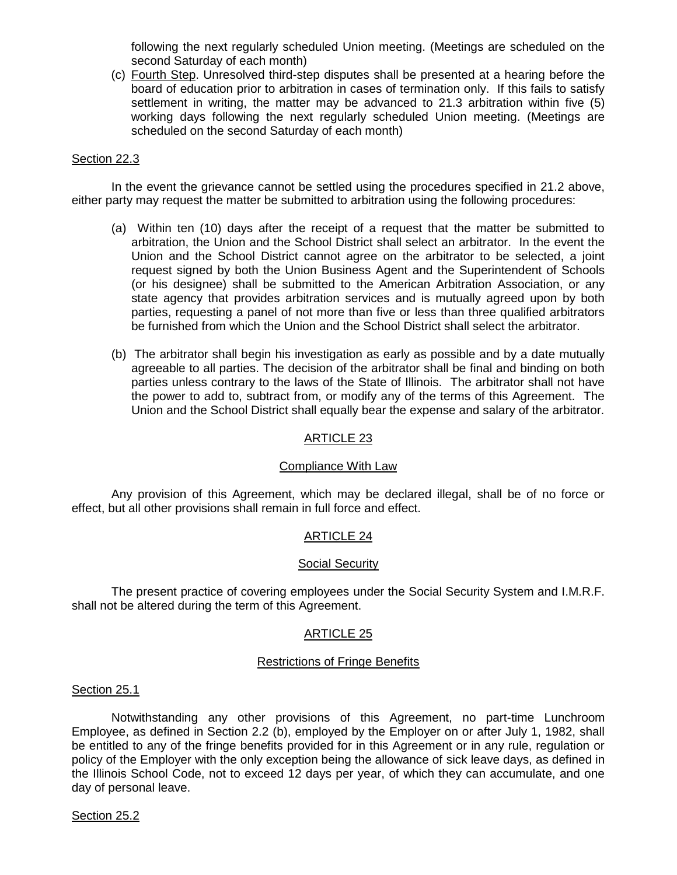following the next regularly scheduled Union meeting. (Meetings are scheduled on the second Saturday of each month)

(c) Fourth Step. Unresolved third-step disputes shall be presented at a hearing before the board of education prior to arbitration in cases of termination only. If this fails to satisfy settlement in writing, the matter may be advanced to 21.3 arbitration within five (5) working days following the next regularly scheduled Union meeting. (Meetings are scheduled on the second Saturday of each month)

## Section 22.3

In the event the grievance cannot be settled using the procedures specified in 21.2 above, either party may request the matter be submitted to arbitration using the following procedures:

- (a) Within ten (10) days after the receipt of a request that the matter be submitted to arbitration, the Union and the School District shall select an arbitrator. In the event the Union and the School District cannot agree on the arbitrator to be selected, a joint request signed by both the Union Business Agent and the Superintendent of Schools (or his designee) shall be submitted to the American Arbitration Association, or any state agency that provides arbitration services and is mutually agreed upon by both parties, requesting a panel of not more than five or less than three qualified arbitrators be furnished from which the Union and the School District shall select the arbitrator.
- (b) The arbitrator shall begin his investigation as early as possible and by a date mutually agreeable to all parties. The decision of the arbitrator shall be final and binding on both parties unless contrary to the laws of the State of Illinois. The arbitrator shall not have the power to add to, subtract from, or modify any of the terms of this Agreement. The Union and the School District shall equally bear the expense and salary of the arbitrator.

## ARTICLE 23

#### Compliance With Law

 Any provision of this Agreement, which may be declared illegal, shall be of no force or effect, but all other provisions shall remain in full force and effect.

## ARTICLE 24

## Social Security

 The present practice of covering employees under the Social Security System and I.M.R.F. shall not be altered during the term of this Agreement.

#### ARTICLE 25

#### Restrictions of Fringe Benefits

#### Section 25.1

Notwithstanding any other provisions of this Agreement, no part-time Lunchroom Employee, as defined in Section 2.2 (b), employed by the Employer on or after July 1, 1982, shall be entitled to any of the fringe benefits provided for in this Agreement or in any rule, regulation or policy of the Employer with the only exception being the allowance of sick leave days, as defined in the Illinois School Code, not to exceed 12 days per year, of which they can accumulate, and one day of personal leave.

#### Section 25.2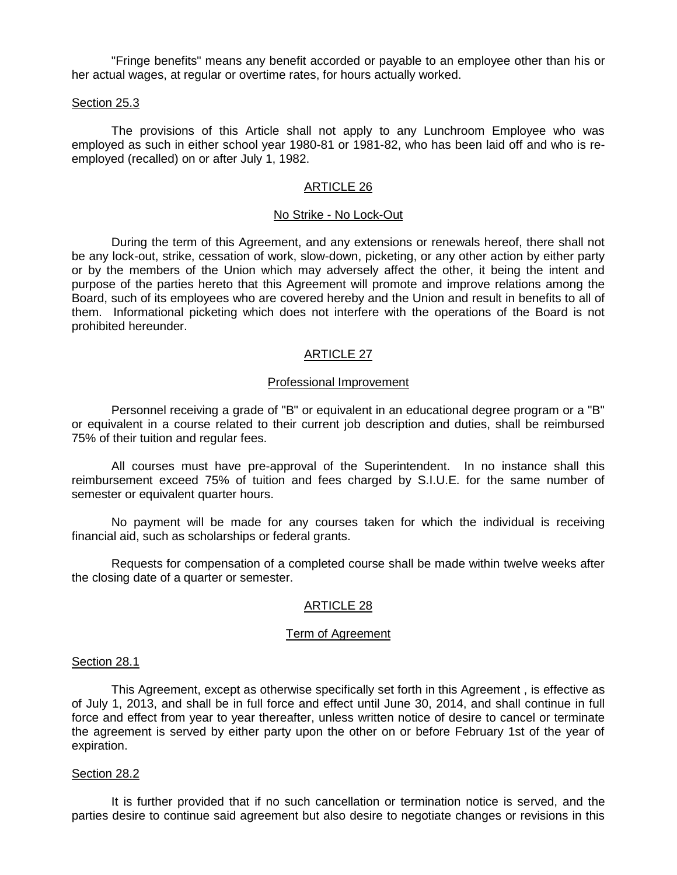"Fringe benefits" means any benefit accorded or payable to an employee other than his or her actual wages, at regular or overtime rates, for hours actually worked.

### Section 25.3

The provisions of this Article shall not apply to any Lunchroom Employee who was employed as such in either school year 1980-81 or 1981-82, who has been laid off and who is reemployed (recalled) on or after July 1, 1982.

## ARTICLE 26

## No Strike - No Lock-Out

 During the term of this Agreement, and any extensions or renewals hereof, there shall not be any lock-out, strike, cessation of work, slow-down, picketing, or any other action by either party or by the members of the Union which may adversely affect the other, it being the intent and purpose of the parties hereto that this Agreement will promote and improve relations among the Board, such of its employees who are covered hereby and the Union and result in benefits to all of them. Informational picketing which does not interfere with the operations of the Board is not prohibited hereunder.

# ARTICLE 27

### Professional Improvement

Personnel receiving a grade of "B" or equivalent in an educational degree program or a "B" or equivalent in a course related to their current job description and duties, shall be reimbursed 75% of their tuition and regular fees.

All courses must have pre-approval of the Superintendent. In no instance shall this reimbursement exceed 75% of tuition and fees charged by S.I.U.E. for the same number of semester or equivalent quarter hours.

No payment will be made for any courses taken for which the individual is receiving financial aid, such as scholarships or federal grants.

Requests for compensation of a completed course shall be made within twelve weeks after the closing date of a quarter or semester.

# ARTICLE 28

## Term of Agreement

#### Section 28.1

 This Agreement, except as otherwise specifically set forth in this Agreement , is effective as of July 1, 2013, and shall be in full force and effect until June 30, 2014, and shall continue in full force and effect from year to year thereafter, unless written notice of desire to cancel or terminate the agreement is served by either party upon the other on or before February 1st of the year of expiration.

#### Section 28.2

 It is further provided that if no such cancellation or termination notice is served, and the parties desire to continue said agreement but also desire to negotiate changes or revisions in this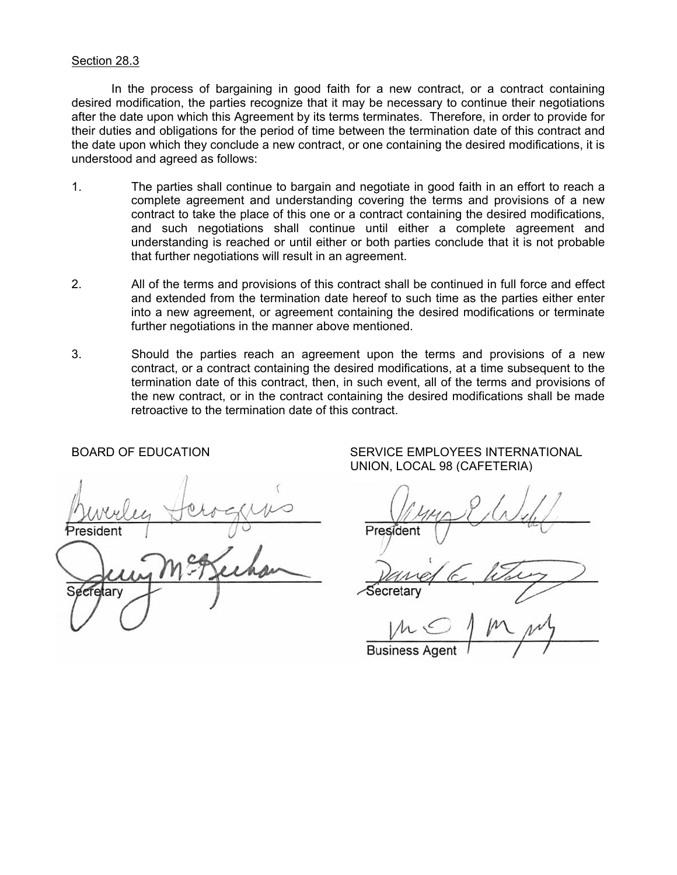## Section 28.3

In the process of bargaining in good faith for a new contract, or a contract containing desired modification, the parties recognize that it may be necessary to continue their negotiations after the date upon which this Agreement by its terms terminates. Therefore, in order to provide for their duties and obligations for the period of time between the termination date of this contract and the date upon which they conclude a new contract, or one containing the desired modifications, it is understood and agreed as follows:

- 1. The parties shall continue to bargain and negotiate in good faith in an effort to reach a complete agreement and understanding covering the terms and provisions of a new contract to take the place of this one or a contract containing the desired modifications, and such negotiations shall continue until either a complete agreement and understanding is reached or until either or both parties conclude that it is not probable that further negotiations will result in an agreement.
- 2. All of the terms and provisions of this contract shall be continued in full force and effect and extended from the termination date hereof to such time as the parties either enter into a new agreement, or agreement containing the desired modifications or terminate further negotiations in the manner above mentioned.
- 3. Should the parties reach an agreement upon the terms and provisions of a new contract, or a contract containing the desired modifications, at a time subsequent to the termination date of this contract, then, in such event, all of the terms and provisions of the new contract, or in the contract containing the desired modifications shall be made retroactive to the termination date of this contract.

<u>Provincial president President President President President President President President President President President President President President President President President President President President President </u>  $\mathcal{S}$  Secretary Secretary Secretary Secretary Secretary Secretary Secretary Secretary Secretary Secretary Secretary Secretary Secretary Secretary Secretary Secretary Secretary Secretary Secretary Secretary Secretary Se fetarv

BOARD OF EDUCATION SERVICE EMPLOYEES INTERNATIONAL UNION, LOCAL 98 (CAFETERIA)

 $\overline{A}$ **Business Ager**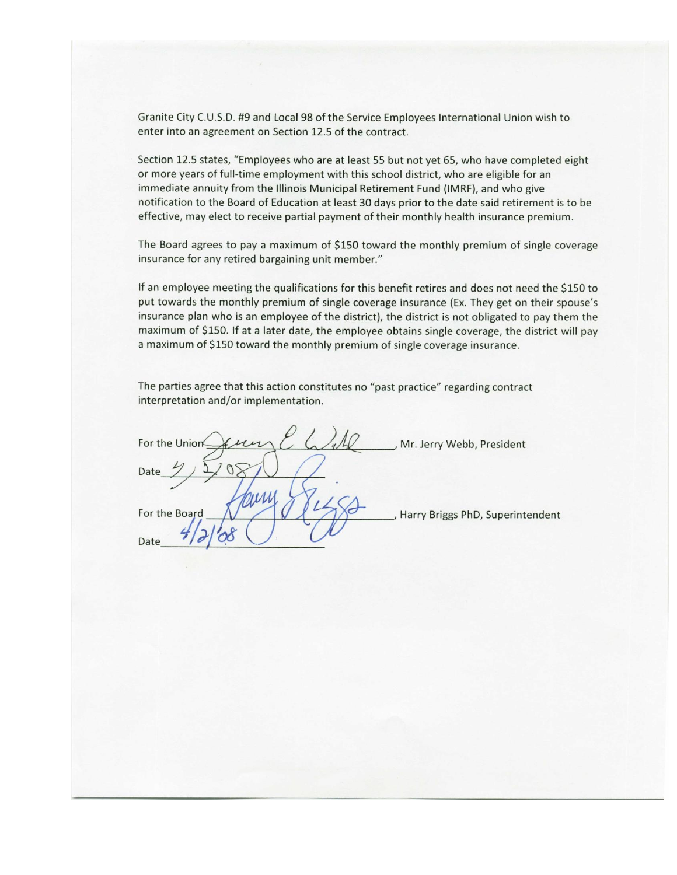Granite City C.U.S.D. #9 and Local 98 of the Service Employees International Union wish to enter into an agreement on Section 12.5 of the contract.

Section 12.5 states, "Employees who are at least 55 but not yet 65, who have completed eight or more years of full-time employment with this school district, who are eligible for an immediate annuity from the Illinois Municipal Retirement Fund (IMRF), and who give notification to the Board of Education at least 30 days prior to the date said retirement is to be effective, may elect to receive partial payment of their monthly health insurance premium.

The Board agrees to pay a maximum of \$150 toward the monthly premium of single coverage insurance for any retired bargaining unit member."

If an employee meeting the qualifications for this benefit retires and does not need the \$150 to put towards the monthly premium of single coverage insurance (Ex. They get on their spouse's insurance plan who is an employee of the district), the district is not obligated to pay them the maximum of \$150. If at a later date, the employee obtains single coverage, the district will pay a maximum of \$150 toward the monthly premium of single coverage insurance.

The parties agree that this action constitutes no "past practice" regarding contract interpretation and/or implementation.

For the Union , Mr. Jerry Webb, President For the Board Harry Briggs PhD, Superintendent Date